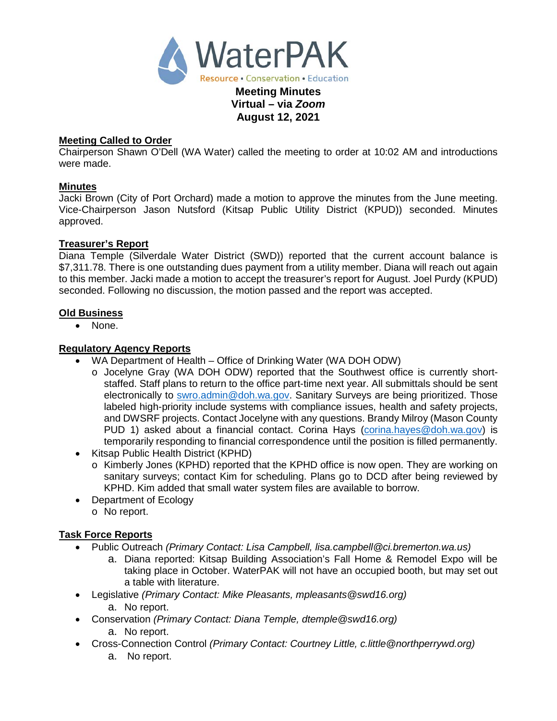

#### **Meeting Called to Order**

Chairperson Shawn O'Dell (WA Water) called the meeting to order at 10:02 AM and introductions were made.

**August 12, 2021**

#### **Minutes**

Jacki Brown (City of Port Orchard) made a motion to approve the minutes from the June meeting. Vice-Chairperson Jason Nutsford (Kitsap Public Utility District (KPUD)) seconded. Minutes approved.

#### **Treasurer's Report**

Diana Temple (Silverdale Water District (SWD)) reported that the current account balance is \$7,311.78. There is one outstanding dues payment from a utility member. Diana will reach out again to this member. Jacki made a motion to accept the treasurer's report for August. Joel Purdy (KPUD) seconded. Following no discussion, the motion passed and the report was accepted.

#### **Old Business**

• None.

## **Regulatory Agency Reports**

- WA Department of Health Office of Drinking Water (WA DOH ODW)
	- o Jocelyne Gray (WA DOH ODW) reported that the Southwest office is currently shortstaffed. Staff plans to return to the office part-time next year. All submittals should be sent electronically to [swro.admin@doh.wa.gov.](mailto:swro.admin@doh.wa.gov) Sanitary Surveys are being prioritized. Those labeled high-priority include systems with compliance issues, health and safety projects, and DWSRF projects. Contact Jocelyne with any questions. Brandy Milroy (Mason County PUD 1) asked about a financial contact. Corina Hays [\(corina.hayes@doh.wa.gov\)](mailto:corina.hayes@doh.wa.gov) is temporarily responding to financial correspondence until the position is filled permanently.
- Kitsap Public Health District (KPHD)
	- o Kimberly Jones (KPHD) reported that the KPHD office is now open. They are working on sanitary surveys; contact Kim for scheduling. Plans go to DCD after being reviewed by KPHD. Kim added that small water system files are available to borrow.
- Department of Ecology o No report.

## **Task Force Reports**

- Public Outreach *(Primary Contact: Lisa Campbell, lisa.campbell@ci.bremerton.wa.us)*
	- a. Diana reported: Kitsap Building Association's Fall Home & Remodel Expo will be taking place in October. WaterPAK will not have an occupied booth, but may set out a table with literature.
- Legislative *(Primary Contact: Mike Pleasants, mpleasants@swd16.org)* 
	- a. No report.
- Conservation *(Primary Contact: Diana Temple, dtemple@swd16.org)*
	- a. No report.
- Cross-Connection Control *(Primary Contact: Courtney Little, [c.little@northperrywd.org\)](mailto:c.little@northperrywd.org)* a. No report.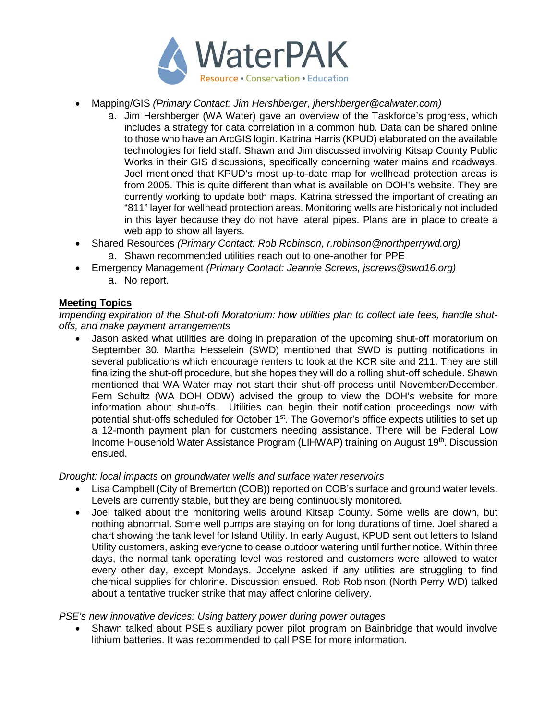

- Mapping/GIS *(Primary Contact: Jim Hershberger, jhershberger@calwater.com)*
	- a. Jim Hershberger (WA Water) gave an overview of the Taskforce's progress, which includes a strategy for data correlation in a common hub. Data can be shared online to those who have an ArcGIS login. Katrina Harris (KPUD) elaborated on the available technologies for field staff. Shawn and Jim discussed involving Kitsap County Public Works in their GIS discussions, specifically concerning water mains and roadways. Joel mentioned that KPUD's most up-to-date map for wellhead protection areas is from 2005. This is quite different than what is available on DOH's website. They are currently working to update both maps. Katrina stressed the important of creating an "811" layer for wellhead protection areas. Monitoring wells are historically not included in this layer because they do not have lateral pipes. Plans are in place to create a web app to show all layers.
- Shared Resources *(Primary Contact: Rob Robinson, r.robinson@northperrywd.org)* a. Shawn recommended utilities reach out to one-another for PPE
- Emergency Management *(Primary Contact: Jeannie Screws, jscrews@swd16.org)* a. No report.

# **Meeting Topics**

*Impending expiration of the Shut-off Moratorium: how utilities plan to collect late fees, handle shutoffs, and make payment arrangements*

• Jason asked what utilities are doing in preparation of the upcoming shut-off moratorium on September 30. Martha Hesselein (SWD) mentioned that SWD is putting notifications in several publications which encourage renters to look at the KCR site and 211. They are still finalizing the shut-off procedure, but she hopes they will do a rolling shut-off schedule. Shawn mentioned that WA Water may not start their shut-off process until November/December. Fern Schultz (WA DOH ODW) advised the group to view the DOH's website for more information about shut-offs. Utilities can begin their notification proceedings now with potential shut-offs scheduled for October 1<sup>st</sup>. The Governor's office expects utilities to set up a 12-month payment plan for customers needing assistance. There will be Federal Low Income Household Water Assistance Program (LIHWAP) training on August 19<sup>th</sup>. Discussion ensued.

## *Drought: local impacts on groundwater wells and surface water reservoirs*

- Lisa Campbell (City of Bremerton (COB)) reported on COB's surface and ground water levels. Levels are currently stable, but they are being continuously monitored.
- Joel talked about the monitoring wells around Kitsap County. Some wells are down, but nothing abnormal. Some well pumps are staying on for long durations of time. Joel shared a chart showing the tank level for Island Utility. In early August, KPUD sent out letters to Island Utility customers, asking everyone to cease outdoor watering until further notice. Within three days, the normal tank operating level was restored and customers were allowed to water every other day, except Mondays. Jocelyne asked if any utilities are struggling to find chemical supplies for chlorine. Discussion ensued. Rob Robinson (North Perry WD) talked about a tentative trucker strike that may affect chlorine delivery.

## *PSE's new innovative devices: Using battery power during power outages*

• Shawn talked about PSE's auxiliary power pilot program on Bainbridge that would involve lithium batteries. It was recommended to call PSE for more information.